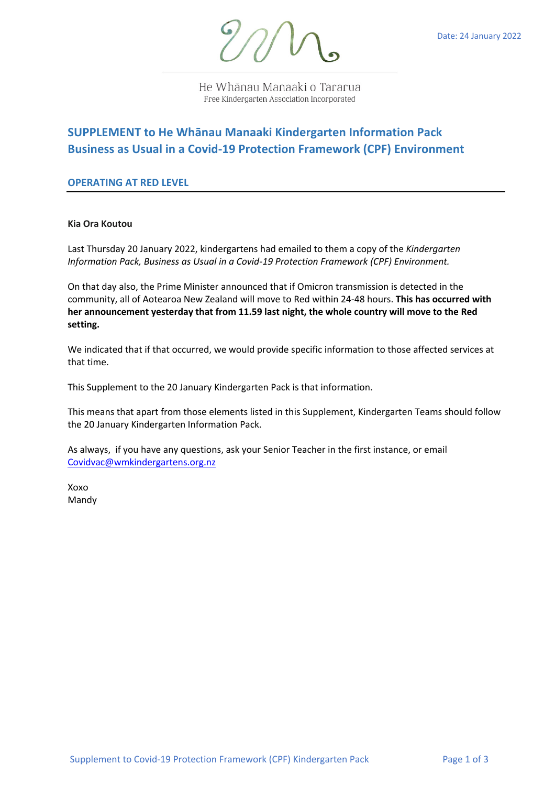

He Whānau Manaaki o Tararua Free Kindergarten Association Incorporated

# **SUPPLEMENT to He Whānau Manaaki Kindergarten Information Pack Business as Usual in a Covid-19 Protection Framework (CPF) Environment**

## **OPERATING AT RED LEVEL**

**Kia Ora Koutou**

Last Thursday 20 January 2022, kindergartens had emailed to them a copy of the *Kindergarten Information Pack, Business as Usual in a Covid-19 Protection Framework (CPF) Environment.*

On that day also, the Prime Minister announced that if Omicron transmission is detected in the community, all of Aotearoa New Zealand will move to Red within 24-48 hours. **This has occurred with her announcement yesterday that from 11.59 last night, the whole country will move to the Red setting.** 

We indicated that if that occurred, we would provide specific information to those affected services at that time.

This Supplement to the 20 January Kindergarten Pack is that information.

This means that apart from those elements listed in this Supplement, Kindergarten Teams should follow the 20 January Kindergarten Information Pack.

As always, if you have any questions, ask your Senior Teacher in the first instance, or email Covidvac@wmkindergartens.org.nz

Xoxo Mandy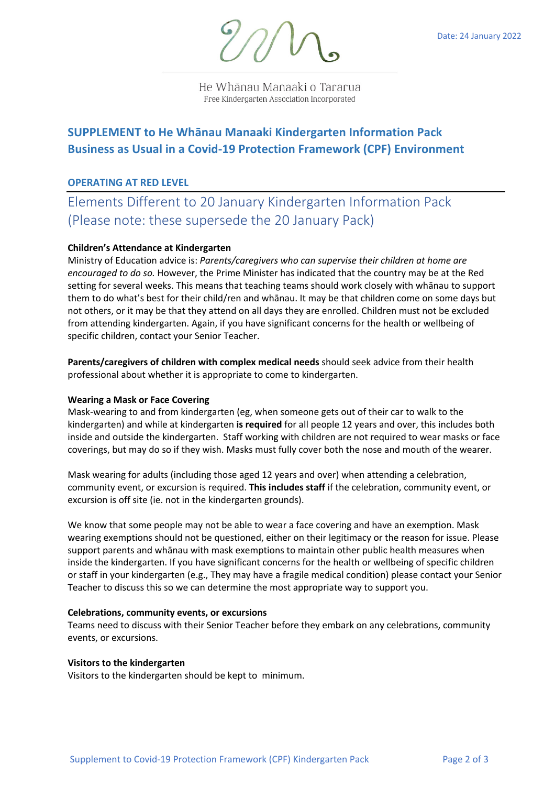

He Whānau Manaaki o Tararua Free Kindergarten Association Incorporated

# **SUPPLEMENT to He Whānau Manaaki Kindergarten Information Pack Business as Usual in a Covid-19 Protection Framework (CPF) Environment**

## **OPERATING AT RED LEVEL**

Elements Different to 20 January Kindergarten Information Pack (Please note: these supersede the 20 January Pack)

### **Children's Attendance at Kindergarten**

Ministry of Education advice is: *Parents/caregivers who can supervise their children at home are encouraged to do so.* However, the Prime Minister has indicated that the country may be at the Red setting for several weeks. This means that teaching teams should work closely with whānau to support them to do what's best for their child/ren and whānau. It may be that children come on some days but not others, or it may be that they attend on all days they are enrolled. Children must not be excluded from attending kindergarten. Again, if you have significant concerns for the health or wellbeing of specific children, contact your Senior Teacher.

**Parents/caregivers of children with complex medical needs** should seek advice from their health professional about whether it is appropriate to come to kindergarten.

#### **Wearing a Mask or Face Covering**

Mask-wearing to and from kindergarten (eg, when someone gets out of their car to walk to the kindergarten) and while at kindergarten **is required** for all people 12 years and over, this includes both inside and outside the kindergarten. Staff working with children are not required to wear masks or face coverings, but may do so if they wish. Masks must fully cover both the nose and mouth of the wearer.

Mask wearing for adults (including those aged 12 years and over) when attending a celebration, community event, or excursion is required. **This includes staff** if the celebration, community event, or excursion is off site (ie. not in the kindergarten grounds).

We know that some people may not be able to wear a face covering and have an exemption. Mask wearing exemptions should not be questioned, either on their legitimacy or the reason for issue. Please support parents and whānau with mask exemptions to maintain other public health measures when inside the kindergarten. If you have significant concerns for the health or wellbeing of specific children or staff in your kindergarten (e.g., They may have a fragile medical condition) please contact your Senior Teacher to discuss this so we can determine the most appropriate way to support you.

#### **Celebrations, community events, or excursions**

Teams need to discuss with their Senior Teacher before they embark on any celebrations, community events, or excursions.

#### **Visitors to the kindergarten**

Visitors to the kindergarten should be kept to minimum.